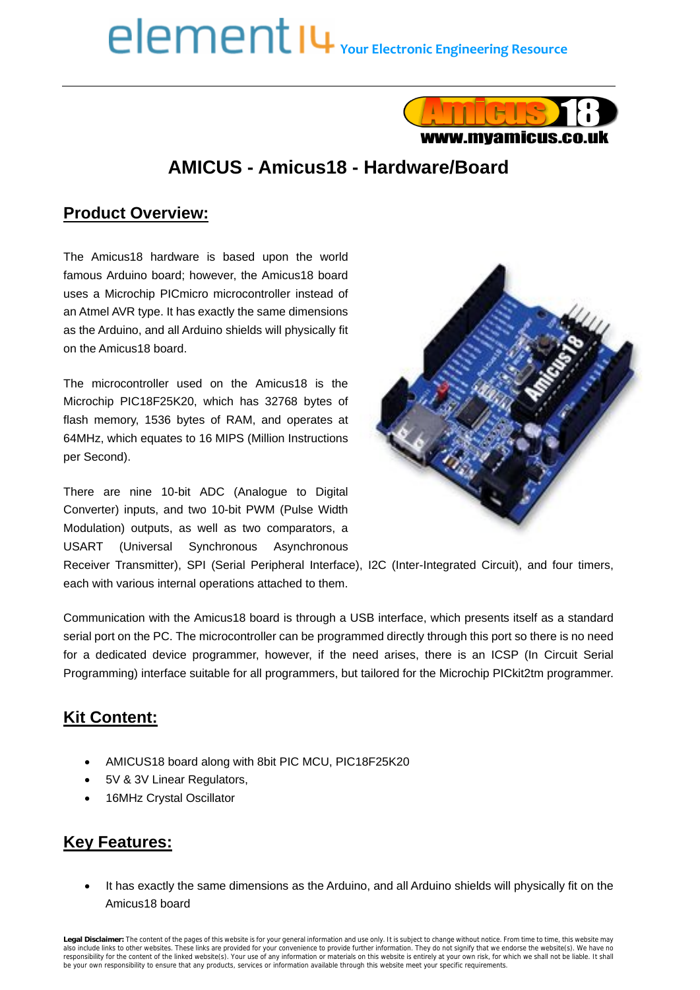# **Your Electronic Engineering Resource**



# **AMICUS - Amicus18 - Hardware/Board**

#### **Product Overview:**

The Amicus18 hardware is based upon the world famous Arduino board; however, the Amicus18 board uses a Microchip PICmicro microcontroller instead of an Atmel AVR type. It has exactly the same dimensions as the Arduino, and all Arduino shields will physically fit on the Amicus18 board.

The microcontroller used on the Amicus18 is the Microchip PIC18F25K20, which has 32768 bytes of flash memory, 1536 bytes of RAM, and operates at 64MHz, which equates to 16 MIPS (Million Instructions per Second).

There are nine 10-bit ADC (Analogue to Digital Converter) inputs, and two 10-bit PWM (Pulse Width Modulation) outputs, as well as two comparators, a USART (Universal Synchronous Asynchronous



Receiver Transmitter), SPI (Serial Peripheral Interface), I2C (Inter-Integrated Circuit), and four timers, each with various internal operations attached to them.

Communication with the Amicus18 board is through a USB interface, which presents itself as a standard serial port on the PC. The microcontroller can be programmed directly through this port so there is no need for a dedicated device programmer, however, if the need arises, there is an ICSP (In Circuit Serial Programming) interface suitable for all programmers, but tailored for the Microchip PICkit2tm programmer.

### **Kit Content:**

- AMICUS18 board along with 8bit PIC MCU, PIC18F25K20
- 5V & 3V Linear Regulators,
- 16MHz Crystal Oscillator

#### **Key Features:**

 It has exactly the same dimensions as the Arduino, and all Arduino shields will physically fit on the Amicus18 board

Legal Disclaimer: The content of the pages of this website is for your general information and use only. It is subject to change without notice. From time to time, this website may<br>also include links to other websites. The responsibility for the content of the linked website(s). Your use of any information or materials on this website is entirely at your own risk, for which we shall not be liable. It shall not be liable. It shall be your own responsibility to ensure that any products, services or information available through this website meet your specific requirements.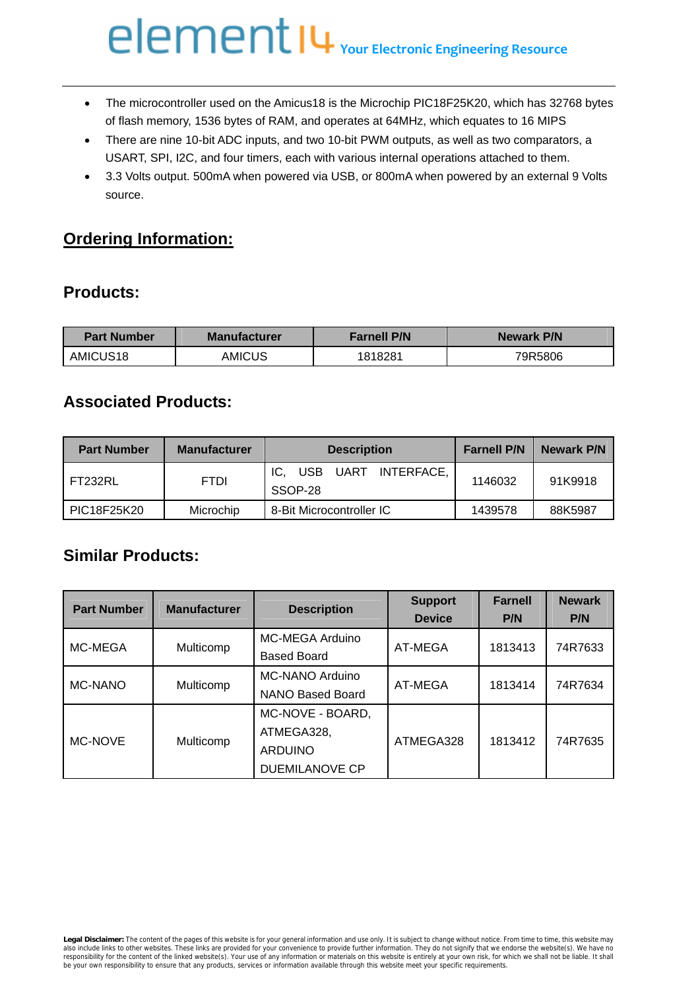# **Your Electronic Engineering Resource**

- The microcontroller used on the Amicus18 is the Microchip PIC18F25K20, which has 32768 bytes of flash memory, 1536 bytes of RAM, and operates at 64MHz, which equates to 16 MIPS
- There are nine 10-bit ADC inputs, and two 10-bit PWM outputs, as well as two comparators, a USART, SPI, I2C, and four timers, each with various internal operations attached to them.
- 3.3 Volts output. 500mA when powered via USB, or 800mA when powered by an external 9 Volts source.

#### **Ordering Information:**

#### **Products:**

| <b>Manufacturer</b><br><b>Part Number</b> |        | <b>Farnell P/N</b> | Newark P/N |  |
|-------------------------------------------|--------|--------------------|------------|--|
| AMICUS <sub>18</sub>                      | AMICUS | 1818281            | 79R5806    |  |

#### **Associated Products:**

| <b>Part Number</b> | <b>Manufacturer</b> | <b>Description</b>                        | <b>Farnell P/N</b> | Newark P/N |
|--------------------|---------------------|-------------------------------------------|--------------------|------------|
| FT232RL            | <b>FTDI</b>         | UART INTERFACE,<br>IC.<br>USB.<br>SSOP-28 | 1146032            | 91K9918    |
| PIC18F25K20        | Microchip           | 8-Bit Microcontroller IC                  | 1439578            | 88K5987    |

#### **Similar Products:**

| <b>Part Number</b> | <b>Manufacturer</b> | <b>Description</b> | <b>Support</b><br><b>Device</b> | <b>Farnell</b><br>P/N | <b>Newark</b><br>P/N |
|--------------------|---------------------|--------------------|---------------------------------|-----------------------|----------------------|
| MC-MEGA            | Multicomp           | MC-MEGA Arduino    | AT-MEGA                         | 1813413               | 74R7633              |
|                    |                     | <b>Based Board</b> |                                 |                       |                      |
| MC-NANO            | Multicomp           | MC-NANO Arduino    | AT-MEGA                         | 1813414               | 74R7634              |
|                    |                     | NANO Based Board   |                                 |                       |                      |
| MC-NOVE            | Multicomp           | MC-NOVE - BOARD,   | ATMEGA328                       | 1813412               | 74R7635              |
|                    |                     | ATMEGA328,         |                                 |                       |                      |
|                    |                     | <b>ARDUINO</b>     |                                 |                       |                      |
|                    |                     | DUEMILANOVE CP     |                                 |                       |                      |